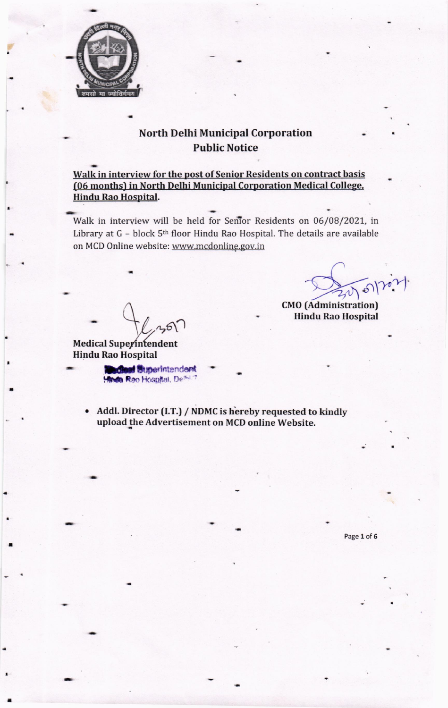

# **North Delhi Municipal Corporation Public Notice**

Walk in interview for the post of Senior Residents on contract basis (06 months) in North Delhi Municipal Corporation Medical College, **Hindu Rao Hospital.** 

Walk in interview will be held for Senior Residents on 06/08/2021, in Library at G - block 5<sup>th</sup> floor Hindu Rao Hospital. The details are available on MCD Online website: www.mcdonline.gov.in

**Medical Superintendent Hindu Rao Hospital** 

> **diest** Superintendent Hinda Reo Hospital, Definitive

Addl. Director (I.T.) / NDMC is hereby requested to kindly upload the Advertisement on MCD online Website.

Page 1 of 6

3016

**CMO** (Administration) **Hindu Rao Hospital**